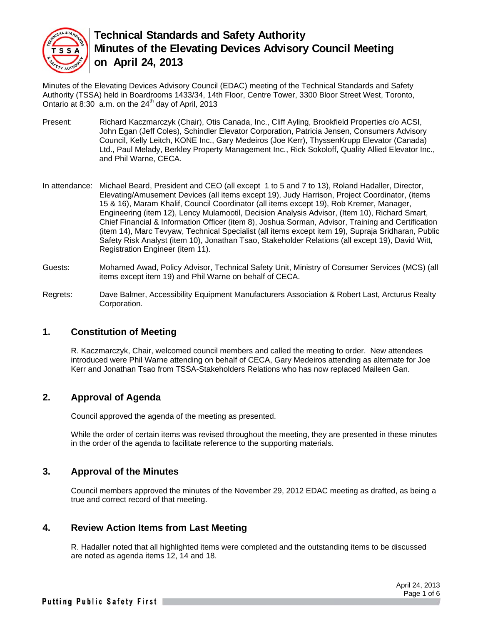

Minutes of the Elevating Devices Advisory Council (EDAC) meeting of the Technical Standards and Safety Authority (TSSA) held in Boardrooms 1433/34, 14th Floor, Centre Tower, 3300 Bloor Street West, Toronto, Ontario at 8:30  $\alpha$ .m. on the 24<sup>th</sup> day of April, 2013

- Present: Richard Kaczmarczyk (Chair), Otis Canada, Inc., Cliff Ayling, Brookfield Properties c/o ACSI, John Egan (Jeff Coles), Schindler Elevator Corporation, Patricia Jensen, Consumers Advisory Council, Kelly Leitch, KONE Inc., Gary Medeiros (Joe Kerr), ThyssenKrupp Elevator (Canada) Ltd., Paul Melady, Berkley Property Management Inc., Rick Sokoloff, Quality Allied Elevator Inc., and Phil Warne, CECA.
- In attendance: Michael Beard, President and CEO (all except 1 to 5 and 7 to 13), Roland Hadaller, Director, Elevating/Amusement Devices (all items except 19), Judy Harrison, Project Coordinator, (items 15 & 16), Maram Khalif, Council Coordinator (all items except 19), Rob Kremer, Manager, Engineering (item 12), Lency Mulamootil, Decision Analysis Advisor, (Item 10), Richard Smart, Chief Financial & Information Officer (item 8), Joshua Sorman, Advisor, Training and Certification (item 14), Marc Tevyaw, Technical Specialist (all items except item 19), Supraja Sridharan, Public Safety Risk Analyst (item 10), Jonathan Tsao, Stakeholder Relations (all except 19), David Witt, Registration Engineer (item 11).
- Guests: Mohamed Awad, Policy Advisor, Technical Safety Unit, Ministry of Consumer Services (MCS) (all items except item 19) and Phil Warne on behalf of CECA.
- Regrets: Dave Balmer, Accessibility Equipment Manufacturers Association & Robert Last, Arcturus Realty Corporation.

## **1. Constitution of Meeting**

R. Kaczmarczyk, Chair, welcomed council members and called the meeting to order. New attendees introduced were Phil Warne attending on behalf of CECA, Gary Medeiros attending as alternate for Joe Kerr and Jonathan Tsao from TSSA-Stakeholders Relations who has now replaced Maileen Gan.

## **2. Approval of Agenda**

Council approved the agenda of the meeting as presented.

While the order of certain items was revised throughout the meeting, they are presented in these minutes in the order of the agenda to facilitate reference to the supporting materials.

#### **3. Approval of the Minutes**

Council members approved the minutes of the November 29, 2012 EDAC meeting as drafted, as being a true and correct record of that meeting.

#### **4. Review Action Items from Last Meeting**

R. Hadaller noted that all highlighted items were completed and the outstanding items to be discussed are noted as agenda items 12, 14 and 18.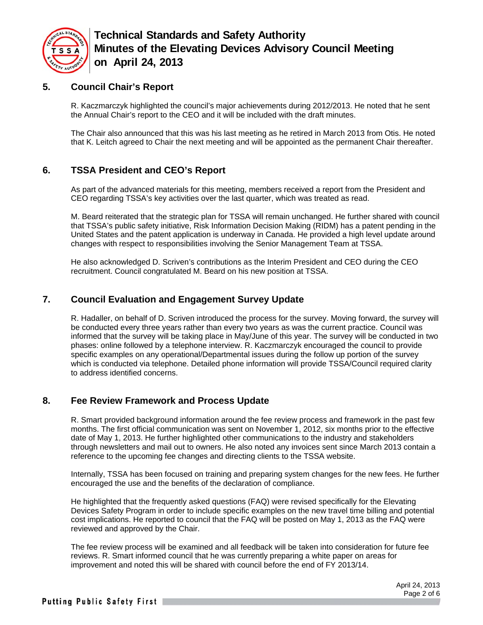

## **5. Council Chair's Report**

R. Kaczmarczyk highlighted the council's major achievements during 2012/2013. He noted that he sent the Annual Chair's report to the CEO and it will be included with the draft minutes.

The Chair also announced that this was his last meeting as he retired in March 2013 from Otis. He noted that K. Leitch agreed to Chair the next meeting and will be appointed as the permanent Chair thereafter.

## **6. TSSA President and CEO's Report**

As part of the advanced materials for this meeting, members received a report from the President and CEO regarding TSSA's key activities over the last quarter, which was treated as read.

M. Beard reiterated that the strategic plan for TSSA will remain unchanged. He further shared with council that TSSA's public safety initiative, Risk Information Decision Making (RIDM) has a patent pending in the United States and the patent application is underway in Canada. He provided a high level update around changes with respect to responsibilities involving the Senior Management Team at TSSA.

He also acknowledged D. Scriven's contributions as the Interim President and CEO during the CEO recruitment. Council congratulated M. Beard on his new position at TSSA.

### **7. Council Evaluation and Engagement Survey Update**

R. Hadaller, on behalf of D. Scriven introduced the process for the survey. Moving forward, the survey will be conducted every three years rather than every two years as was the current practice. Council was informed that the survey will be taking place in May/June of this year. The survey will be conducted in two phases: online followed by a telephone interview. R. Kaczmarczyk encouraged the council to provide specific examples on any operational/Departmental issues during the follow up portion of the survey which is conducted via telephone. Detailed phone information will provide TSSA/Council required clarity to address identified concerns.

#### **8. Fee Review Framework and Process Update**

R. Smart provided background information around the fee review process and framework in the past few months. The first official communication was sent on November 1, 2012, six months prior to the effective date of May 1, 2013. He further highlighted other communications to the industry and stakeholders through newsletters and mail out to owners. He also noted any invoices sent since March 2013 contain a reference to the upcoming fee changes and directing clients to the TSSA website.

Internally, TSSA has been focused on training and preparing system changes for the new fees. He further encouraged the use and the benefits of the declaration of compliance.

He highlighted that the frequently asked questions (FAQ) were revised specifically for the Elevating Devices Safety Program in order to include specific examples on the new travel time billing and potential cost implications. He reported to council that the FAQ will be posted on May 1, 2013 as the FAQ were reviewed and approved by the Chair.

The fee review process will be examined and all feedback will be taken into consideration for future fee reviews. R. Smart informed council that he was currently preparing a white paper on areas for improvement and noted this will be shared with council before the end of FY 2013/14.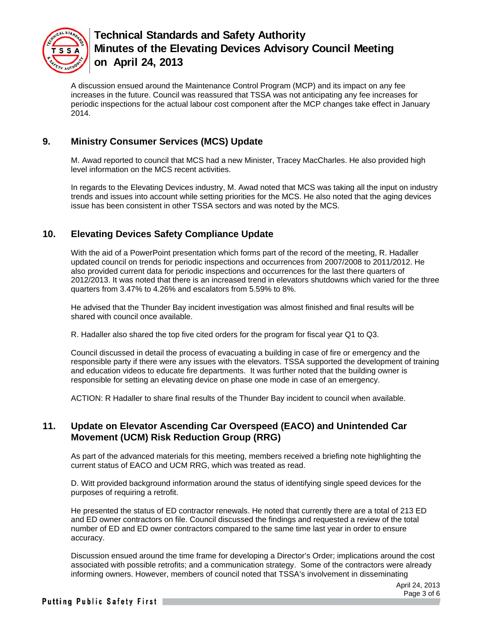

A discussion ensued around the Maintenance Control Program (MCP) and its impact on any fee increases in the future. Council was reassured that TSSA was not anticipating any fee increases for periodic inspections for the actual labour cost component after the MCP changes take effect in January 2014.

## **9. Ministry Consumer Services (MCS) Update**

M. Awad reported to council that MCS had a new Minister, Tracey MacCharles. He also provided high level information on the MCS recent activities.

In regards to the Elevating Devices industry, M. Awad noted that MCS was taking all the input on industry trends and issues into account while setting priorities for the MCS. He also noted that the aging devices issue has been consistent in other TSSA sectors and was noted by the MCS.

## **10. Elevating Devices Safety Compliance Update**

With the aid of a PowerPoint presentation which forms part of the record of the meeting, R. Hadaller updated council on trends for periodic inspections and occurrences from 2007/2008 to 2011/2012. He also provided current data for periodic inspections and occurrences for the last there quarters of 2012/2013. It was noted that there is an increased trend in elevators shutdowns which varied for the three quarters from 3.47% to 4.26% and escalators from 5.59% to 8%.

He advised that the Thunder Bay incident investigation was almost finished and final results will be shared with council once available.

R. Hadaller also shared the top five cited orders for the program for fiscal year Q1 to Q3.

Council discussed in detail the process of evacuating a building in case of fire or emergency and the responsible party if there were any issues with the elevators. TSSA supported the development of training and education videos to educate fire departments. It was further noted that the building owner is responsible for setting an elevating device on phase one mode in case of an emergency.

ACTION: R Hadaller to share final results of the Thunder Bay incident to council when available.

## **11. Update on Elevator Ascending Car Overspeed (EACO) and Unintended Car Movement (UCM) Risk Reduction Group (RRG)**

As part of the advanced materials for this meeting, members received a briefing note highlighting the current status of EACO and UCM RRG, which was treated as read.

D. Witt provided background information around the status of identifying single speed devices for the purposes of requiring a retrofit.

He presented the status of ED contractor renewals. He noted that currently there are a total of 213 ED and ED owner contractors on file. Council discussed the findings and requested a review of the total number of ED and ED owner contractors compared to the same time last year in order to ensure accuracy.

Discussion ensued around the time frame for developing a Director's Order; implications around the cost associated with possible retrofits; and a communication strategy. Some of the contractors were already informing owners. However, members of council noted that TSSA's involvement in disseminating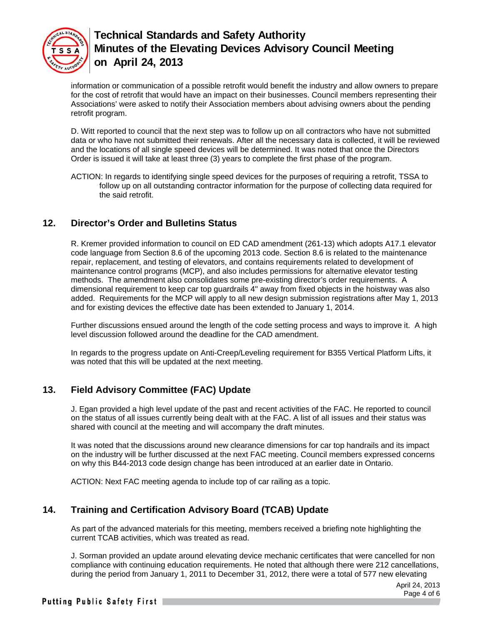

information or communication of a possible retrofit would benefit the industry and allow owners to prepare for the cost of retrofit that would have an impact on their businesses. Council members representing their Associations' were asked to notify their Association members about advising owners about the pending retrofit program.

D. Witt reported to council that the next step was to follow up on all contractors who have not submitted data or who have not submitted their renewals. After all the necessary data is collected, it will be reviewed and the locations of all single speed devices will be determined. It was noted that once the Directors Order is issued it will take at least three (3) years to complete the first phase of the program.

ACTION: In regards to identifying single speed devices for the purposes of requiring a retrofit, TSSA to follow up on all outstanding contractor information for the purpose of collecting data required for the said retrofit.

## **12. Director's Order and Bulletins Status**

R. Kremer provided information to council on ED CAD amendment (261-13) which adopts A17.1 elevator code language from Section 8.6 of the upcoming 2013 code. Section 8.6 is related to the maintenance repair, replacement, and testing of elevators, and contains requirements related to development of maintenance control programs (MCP), and also includes permissions for alternative elevator testing methods. The amendment also consolidates some pre-existing director's order requirements. A dimensional requirement to keep car top guardrails 4" away from fixed objects in the hoistway was also added. Requirements for the MCP will apply to all new design submission registrations after May 1, 2013 and for existing devices the effective date has been extended to January 1, 2014.

Further discussions ensued around the length of the code setting process and ways to improve it. A high level discussion followed around the deadline for the CAD amendment.

In regards to the progress update on Anti-Creep/Leveling requirement for B355 Vertical Platform Lifts, it was noted that this will be updated at the next meeting.

## **13. Field Advisory Committee (FAC) Update**

J. Egan provided a high level update of the past and recent activities of the FAC. He reported to council on the status of all issues currently being dealt with at the FAC. A list of all issues and their status was shared with council at the meeting and will accompany the draft minutes.

It was noted that the discussions around new clearance dimensions for car top handrails and its impact on the industry will be further discussed at the next FAC meeting. Council members expressed concerns on why this B44-2013 code design change has been introduced at an earlier date in Ontario.

ACTION: Next FAC meeting agenda to include top of car railing as a topic.

## **14. Training and Certification Advisory Board (TCAB) Update**

As part of the advanced materials for this meeting, members received a briefing note highlighting the current TCAB activities, which was treated as read.

J. Sorman provided an update around elevating device mechanic certificates that were cancelled for non compliance with continuing education requirements. He noted that although there were 212 cancellations, during the period from January 1, 2011 to December 31, 2012, there were a total of 577 new elevating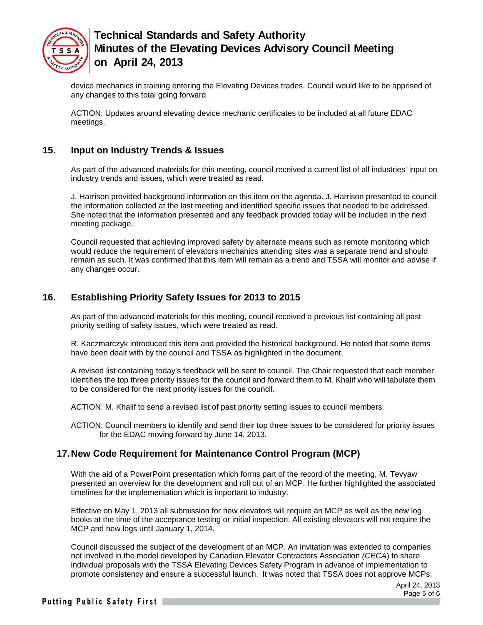

device mechanics in training entering the Elevating Devices trades. Council would like to be apprised of any changes to this total going forward.

ACTION: Updates around elevating device mechanic certificates to be included at all future EDAC meetings.

### **15. Input on Industry Trends & Issues**

As part of the advanced materials for this meeting, council received a current list of all industries' input on industry trends and issues, which were treated as read.

J. Harrison provided background information on this item on the agenda. J. Harrison presented to council the information collected at the last meeting and identified specific issues that needed to be addressed. She noted that the information presented and any feedback provided today will be included in the next meeting package.

Council requested that achieving improved safety by alternate means such as remote monitoring which would reduce the requirement of elevators mechanics attending sites was a separate trend and should remain as such. It was confirmed that this item will remain as a trend and TSSA will monitor and advise if any changes occur.

## **16. Establishing Priority Safety Issues for 2013 to 2015**

As part of the advanced materials for this meeting, council received a previous list containing all past priority setting of safety issues, which were treated as read.

R. Kaczmarczyk introduced this item and provided the historical background. He noted that some items have been dealt with by the council and TSSA as highlighted in the document.

A revised list containing today's feedback will be sent to council. The Chair requested that each member identifies the top three priority issues for the council and forward them to M. Khalif who will tabulate them to be considered for the next priority issues for the council.

ACTION: M. Khalif to send a revised list of past priority setting issues to council members.

ACTION: Council members to identify and send their top three issues to be considered for priority issues for the EDAC moving forward by June 14, 2013.

## **17. New Code Requirement for Maintenance Control Program (MCP)**

With the aid of a PowerPoint presentation which forms part of the record of the meeting, M. Tevyaw presented an overview for the development and roll out of an MCP. He further highlighted the associated timelines for the implementation which is important to industry.

Effective on May 1, 2013 all submission for new elevators will require an MCP as well as the new log books at the time of the acceptance testing or initial inspection. All existing elevators will not require the MCP and new logs until January 1, 2014.

Council discussed the subject of the development of an MCP. An invitation was extended to companies not involved in the model developed by Canadian Elevator Contractors Association *(CECA*) to share individual proposals with the TSSA Elevating Devices Safety Program in advance of implementation to promote consistency and ensure a successful launch. It was noted that TSSA does not approve MCPs;